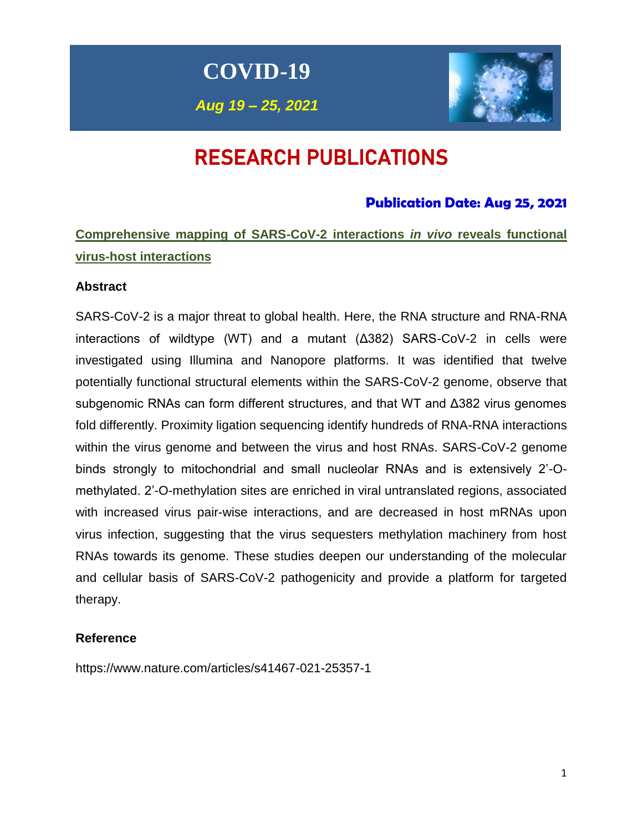**COVID-19**

*Aug 19 – 25, 2021*



# RESEARCH PUBLICATIONS

# **Publication Date: Aug 25, 2021**

**Comprehensive mapping of SARS-CoV-2 interactions** *in vivo* **reveals functional virus-host interactions**

# **Abstract**

SARS-CoV-2 is a major threat to global health. Here, the RNA structure and RNA-RNA interactions of wildtype (WT) and a mutant (Δ382) SARS-CoV-2 in cells were investigated using Illumina and Nanopore platforms. It was identified that twelve potentially functional structural elements within the SARS-CoV-2 genome, observe that subgenomic RNAs can form different structures, and that WT and Δ382 virus genomes fold differently. Proximity ligation sequencing identify hundreds of RNA-RNA interactions within the virus genome and between the virus and host RNAs. SARS-CoV-2 genome binds strongly to mitochondrial and small nucleolar RNAs and is extensively 2'-Omethylated. 2'-O-methylation sites are enriched in viral untranslated regions, associated with increased virus pair-wise interactions, and are decreased in host mRNAs upon virus infection, suggesting that the virus sequesters methylation machinery from host RNAs towards its genome. These studies deepen our understanding of the molecular and cellular basis of SARS-CoV-2 pathogenicity and provide a platform for targeted therapy.

# **Reference**

https://www.nature.com/articles/s41467-021-25357-1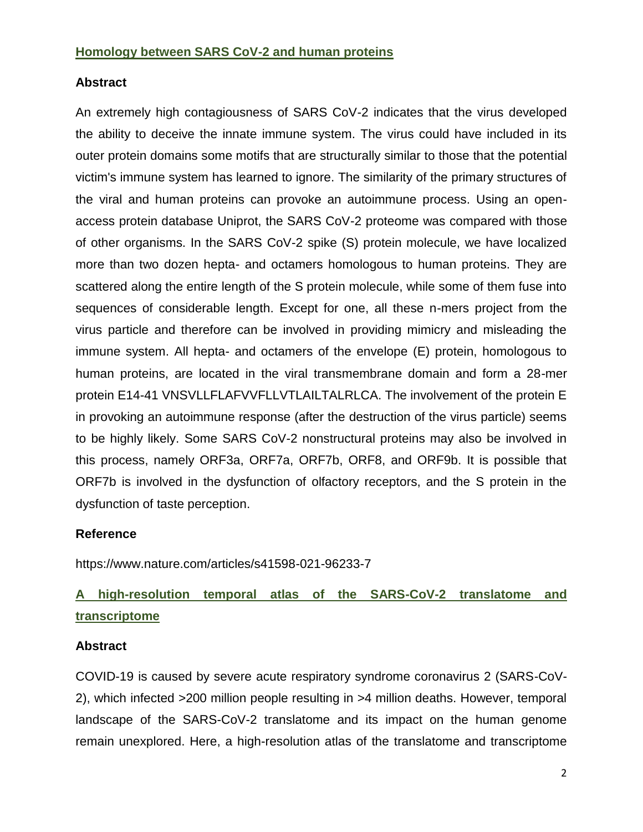# **Abstract**

An extremely high contagiousness of SARS CoV-2 indicates that the virus developed the ability to deceive the innate immune system. The virus could have included in its outer protein domains some motifs that are structurally similar to those that the potential victim's immune system has learned to ignore. The similarity of the primary structures of the viral and human proteins can provoke an autoimmune process. Using an openaccess protein database Uniprot, the SARS CoV-2 proteome was compared with those of other organisms. In the SARS CoV-2 spike (S) protein molecule, we have localized more than two dozen hepta- and octamers homologous to human proteins. They are scattered along the entire length of the S protein molecule, while some of them fuse into sequences of considerable length. Except for one, all these n-mers project from the virus particle and therefore can be involved in providing mimicry and misleading the immune system. All hepta- and octamers of the envelope (E) protein, homologous to human proteins, are located in the viral transmembrane domain and form a 28-mer protein E14-41 VNSVLLFLAFVVFLLVTLAILTALRLCA. The involvement of the protein E in provoking an autoimmune response (after the destruction of the virus particle) seems to be highly likely. Some SARS CoV-2 nonstructural proteins may also be involved in this process, namely ORF3a, ORF7a, ORF7b, ORF8, and ORF9b. It is possible that ORF7b is involved in the dysfunction of olfactory receptors, and the S protein in the dysfunction of taste perception.

# **Reference**

https://www.nature.com/articles/s41598-021-96233-7

# **A high-resolution temporal atlas of the SARS-CoV-2 translatome and transcriptome**

# **Abstract**

COVID-19 is caused by severe acute respiratory syndrome coronavirus 2 (SARS-CoV-2), which infected >200 million people resulting in >4 million deaths. However, temporal landscape of the SARS-CoV-2 translatome and its impact on the human genome remain unexplored. Here, a high-resolution atlas of the translatome and transcriptome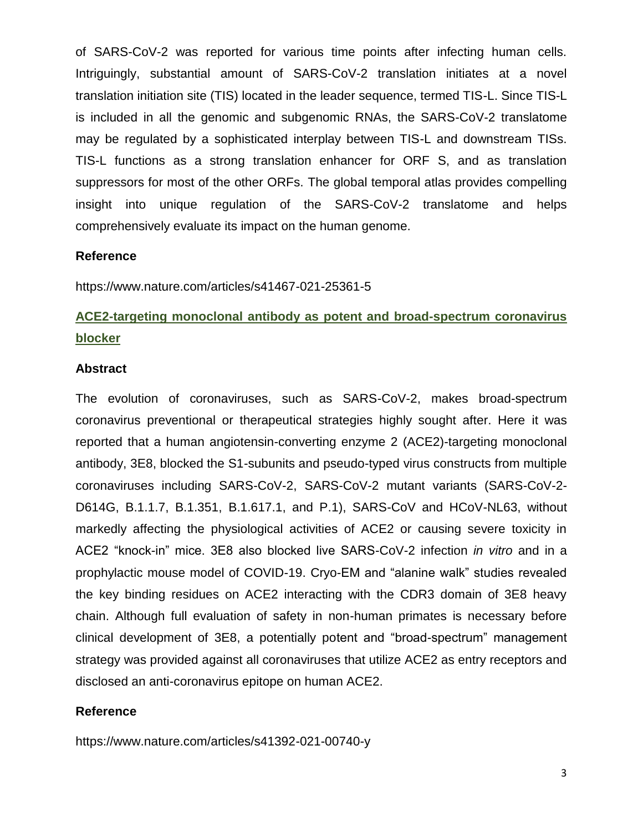of SARS-CoV-2 was reported for various time points after infecting human cells. Intriguingly, substantial amount of SARS-CoV-2 translation initiates at a novel translation initiation site (TIS) located in the leader sequence, termed TIS-L. Since TIS-L is included in all the genomic and subgenomic RNAs, the SARS-CoV-2 translatome may be regulated by a sophisticated interplay between TIS-L and downstream TISs. TIS-L functions as a strong translation enhancer for ORF S, and as translation suppressors for most of the other ORFs. The global temporal atlas provides compelling insight into unique regulation of the SARS-CoV-2 translatome and helps comprehensively evaluate its impact on the human genome.

#### **Reference**

https://www.nature.com/articles/s41467-021-25361-5

# **ACE2-targeting monoclonal antibody as potent and broad-spectrum coronavirus blocker**

#### **Abstract**

The evolution of coronaviruses, such as SARS-CoV-2, makes broad-spectrum coronavirus preventional or therapeutical strategies highly sought after. Here it was reported that a human angiotensin-converting enzyme 2 (ACE2)-targeting monoclonal antibody, 3E8, blocked the S1-subunits and pseudo-typed virus constructs from multiple coronaviruses including SARS-CoV-2, SARS-CoV-2 mutant variants (SARS-CoV-2- D614G, B.1.1.7, B.1.351, B.1.617.1, and P.1), SARS-CoV and HCoV-NL63, without markedly affecting the physiological activities of ACE2 or causing severe toxicity in ACE2 "knock-in" mice. 3E8 also blocked live SARS-CoV-2 infection *in vitro* and in a prophylactic mouse model of COVID-19. Cryo-EM and "alanine walk" studies revealed the key binding residues on ACE2 interacting with the CDR3 domain of 3E8 heavy chain. Although full evaluation of safety in non-human primates is necessary before clinical development of 3E8, a potentially potent and "broad-spectrum" management strategy was provided against all coronaviruses that utilize ACE2 as entry receptors and disclosed an anti-coronavirus epitope on human ACE2.

#### **Reference**

https://www.nature.com/articles/s41392-021-00740-y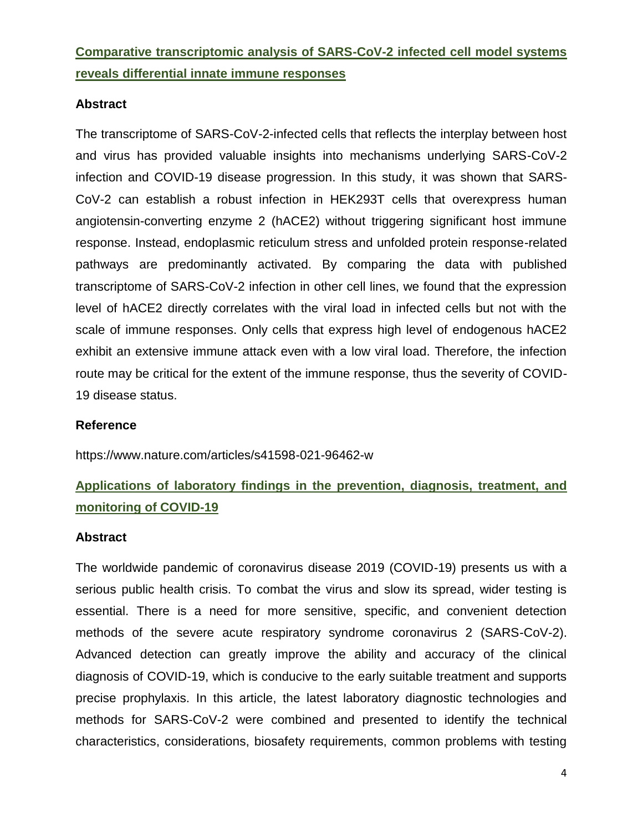# **Comparative transcriptomic analysis of SARS-CoV-2 infected cell model systems reveals differential innate immune responses**

# **Abstract**

The transcriptome of SARS-CoV-2-infected cells that reflects the interplay between host and virus has provided valuable insights into mechanisms underlying SARS-CoV-2 infection and COVID-19 disease progression. In this study, it was shown that SARS-CoV-2 can establish a robust infection in HEK293T cells that overexpress human angiotensin-converting enzyme 2 (hACE2) without triggering significant host immune response. Instead, endoplasmic reticulum stress and unfolded protein response-related pathways are predominantly activated. By comparing the data with published transcriptome of SARS-CoV-2 infection in other cell lines, we found that the expression level of hACE2 directly correlates with the viral load in infected cells but not with the scale of immune responses. Only cells that express high level of endogenous hACE2 exhibit an extensive immune attack even with a low viral load. Therefore, the infection route may be critical for the extent of the immune response, thus the severity of COVID-19 disease status.

# **Reference**

https://www.nature.com/articles/s41598-021-96462-w

# **Applications of laboratory findings in the prevention, diagnosis, treatment, and monitoring of COVID-19**

# **Abstract**

The worldwide pandemic of coronavirus disease 2019 (COVID-19) presents us with a serious public health crisis. To combat the virus and slow its spread, wider testing is essential. There is a need for more sensitive, specific, and convenient detection methods of the severe acute respiratory syndrome coronavirus 2 (SARS-CoV-2). Advanced detection can greatly improve the ability and accuracy of the clinical diagnosis of COVID-19, which is conducive to the early suitable treatment and supports precise prophylaxis. In this article, the latest laboratory diagnostic technologies and methods for SARS-CoV-2 were combined and presented to identify the technical characteristics, considerations, biosafety requirements, common problems with testing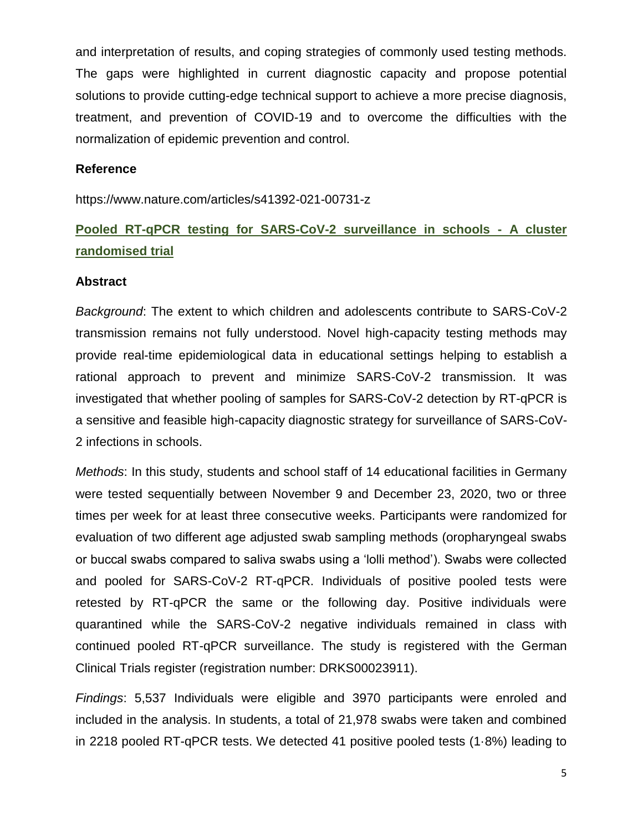and interpretation of results, and coping strategies of commonly used testing methods. The gaps were highlighted in current diagnostic capacity and propose potential solutions to provide cutting-edge technical support to achieve a more precise diagnosis, treatment, and prevention of COVID-19 and to overcome the difficulties with the normalization of epidemic prevention and control.

#### **Reference**

https://www.nature.com/articles/s41392-021-00731-z

# **Pooled RT-qPCR testing for SARS-CoV-2 surveillance in schools - A cluster randomised trial**

#### **Abstract**

*Background*: The extent to which children and adolescents contribute to SARS-CoV-2 transmission remains not fully understood. Novel high-capacity testing methods may provide real-time epidemiological data in educational settings helping to establish a rational approach to prevent and minimize SARS-CoV-2 transmission. It was investigated that whether pooling of samples for SARS-CoV-2 detection by RT-qPCR is a sensitive and feasible high-capacity diagnostic strategy for surveillance of SARS-CoV-2 infections in schools.

*Methods*: In this study, students and school staff of 14 educational facilities in Germany were tested sequentially between November 9 and December 23, 2020, two or three times per week for at least three consecutive weeks. Participants were randomized for evaluation of two different age adjusted swab sampling methods (oropharyngeal swabs or buccal swabs compared to saliva swabs using a 'lolli method'). Swabs were collected and pooled for SARS-CoV-2 RT-qPCR. Individuals of positive pooled tests were retested by RT-qPCR the same or the following day. Positive individuals were quarantined while the SARS-CoV-2 negative individuals remained in class with continued pooled RT-qPCR surveillance. The study is registered with the German Clinical Trials register (registration number: DRKS00023911).

*Findings*: 5,537 Individuals were eligible and 3970 participants were enroled and included in the analysis. In students, a total of 21,978 swabs were taken and combined in 2218 pooled RT-qPCR tests. We detected 41 positive pooled tests (1·8%) leading to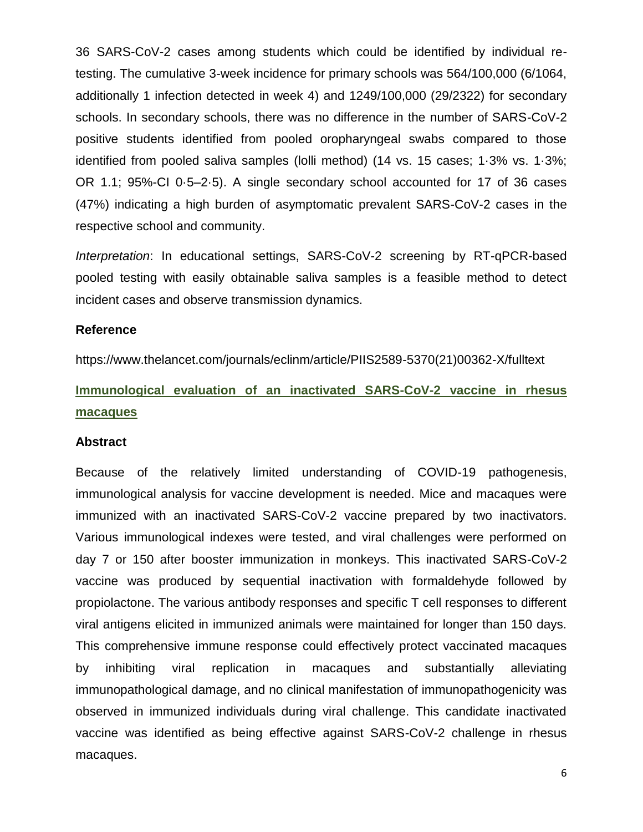36 SARS-CoV-2 cases among students which could be identified by individual retesting. The cumulative 3-week incidence for primary schools was 564/100,000 (6/1064, additionally 1 infection detected in week 4) and 1249/100,000 (29/2322) for secondary schools. In secondary schools, there was no difference in the number of SARS-CoV-2 positive students identified from pooled oropharyngeal swabs compared to those identified from pooled saliva samples (lolli method) (14 vs. 15 cases; 1·3% vs. 1·3%; OR 1.1; 95%-CI 0·5–2·5). A single secondary school accounted for 17 of 36 cases (47%) indicating a high burden of asymptomatic prevalent SARS-CoV-2 cases in the respective school and community.

*Interpretation*: In educational settings, SARS-CoV-2 screening by RT-qPCR-based pooled testing with easily obtainable saliva samples is a feasible method to detect incident cases and observe transmission dynamics.

#### **Reference**

https://www.thelancet.com/journals/eclinm/article/PIIS2589-5370(21)00362-X/fulltext

# **Immunological evaluation of an inactivated SARS-CoV-2 vaccine in rhesus macaques**

#### **Abstract**

Because of the relatively limited understanding of COVID-19 pathogenesis, immunological analysis for vaccine development is needed. Mice and macaques were immunized with an inactivated SARS-CoV-2 vaccine prepared by two inactivators. Various immunological indexes were tested, and viral challenges were performed on day 7 or 150 after booster immunization in monkeys. This inactivated SARS-CoV-2 vaccine was produced by sequential inactivation with formaldehyde followed by propiolactone. The various antibody responses and specific T cell responses to different viral antigens elicited in immunized animals were maintained for longer than 150 days. This comprehensive immune response could effectively protect vaccinated macaques by inhibiting viral replication in macaques and substantially alleviating immunopathological damage, and no clinical manifestation of immunopathogenicity was observed in immunized individuals during viral challenge. This candidate inactivated vaccine was identified as being effective against SARS-CoV-2 challenge in rhesus macaques.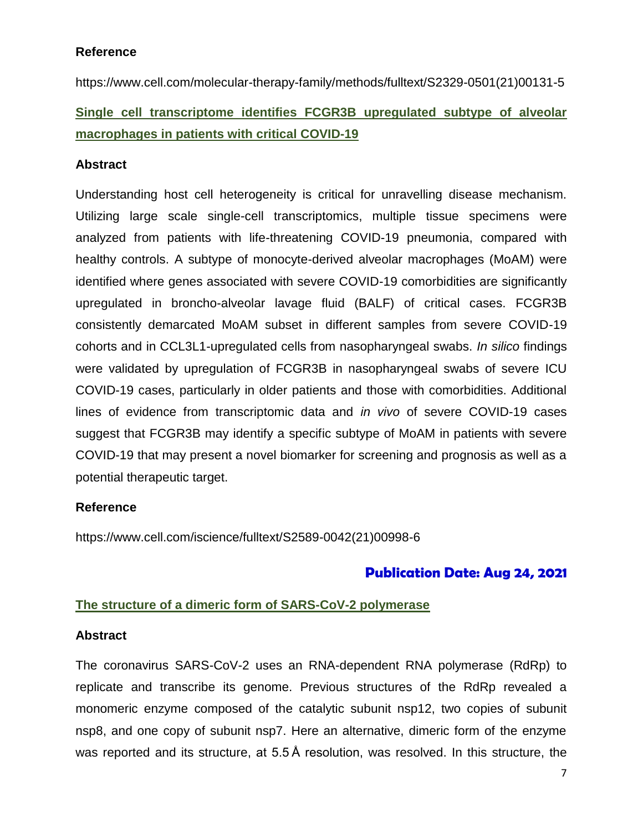# **Reference**

https://www.cell.com/molecular-therapy-family/methods/fulltext/S2329-0501(21)00131-5 **Single cell transcriptome identifies FCGR3B upregulated subtype of alveolar macrophages in patients with critical COVID-19**

# **Abstract**

Understanding host cell heterogeneity is critical for unravelling disease mechanism. Utilizing large scale single-cell transcriptomics, multiple tissue specimens were analyzed from patients with life-threatening COVID-19 pneumonia, compared with healthy controls. A subtype of monocyte-derived alveolar macrophages (MoAM) were identified where genes associated with severe COVID-19 comorbidities are significantly upregulated in broncho-alveolar lavage fluid (BALF) of critical cases. FCGR3B consistently demarcated MoAM subset in different samples from severe COVID-19 cohorts and in CCL3L1-upregulated cells from nasopharyngeal swabs. *In silico* findings were validated by upregulation of FCGR3B in nasopharyngeal swabs of severe ICU COVID-19 cases, particularly in older patients and those with comorbidities. Additional lines of evidence from transcriptomic data and *in vivo* of severe COVID-19 cases suggest that FCGR3B may identify a specific subtype of MoAM in patients with severe COVID-19 that may present a novel biomarker for screening and prognosis as well as a potential therapeutic target.

# **Reference**

https://www.cell.com/iscience/fulltext/S2589-0042(21)00998-6

# **Publication Date: Aug 24, 2021**

# **The structure of a dimeric form of SARS-CoV-2 polymerase**

# **Abstract**

The coronavirus SARS-CoV-2 uses an RNA-dependent RNA polymerase (RdRp) to replicate and transcribe its genome. Previous structures of the RdRp revealed a monomeric enzyme composed of the catalytic subunit nsp12, two copies of subunit nsp8, and one copy of subunit nsp7. Here an alternative, dimeric form of the enzyme was reported and its structure, at 5.5 Å resolution, was resolved. In this structure, the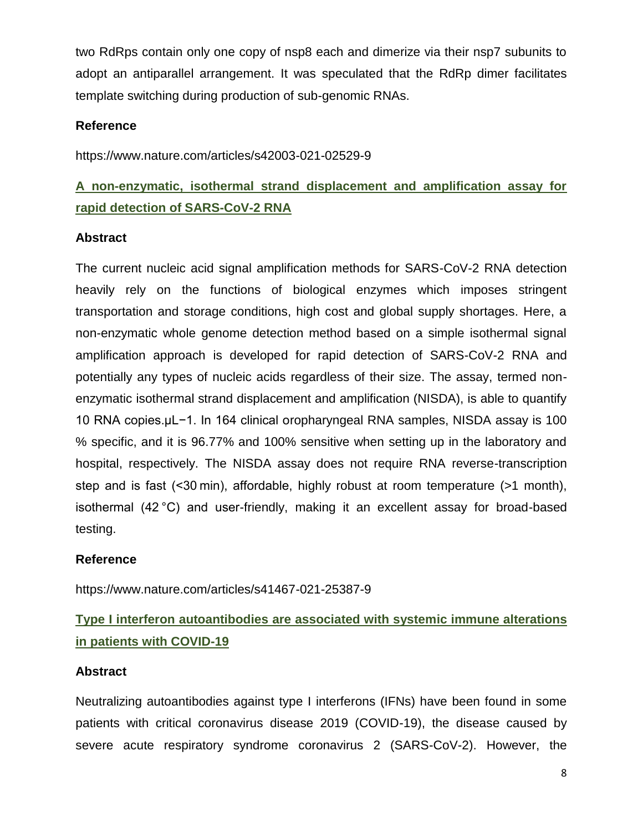two RdRps contain only one copy of nsp8 each and dimerize via their nsp7 subunits to adopt an antiparallel arrangement. It was speculated that the RdRp dimer facilitates template switching during production of sub-genomic RNAs.

# **Reference**

https://www.nature.com/articles/s42003-021-02529-9

# **A non-enzymatic, isothermal strand displacement and amplification assay for rapid detection of SARS-CoV-2 RNA**

# **Abstract**

The current nucleic acid signal amplification methods for SARS-CoV-2 RNA detection heavily rely on the functions of biological enzymes which imposes stringent transportation and storage conditions, high cost and global supply shortages. Here, a non-enzymatic whole genome detection method based on a simple isothermal signal amplification approach is developed for rapid detection of SARS-CoV-2 RNA and potentially any types of nucleic acids regardless of their size. The assay, termed nonenzymatic isothermal strand displacement and amplification (NISDA), is able to quantify 10 RNA copies.µL−1. In 164 clinical oropharyngeal RNA samples, NISDA assay is 100 % specific, and it is 96.77% and 100% sensitive when setting up in the laboratory and hospital, respectively. The NISDA assay does not require RNA reverse-transcription step and is fast (<30 min), affordable, highly robust at room temperature (>1 month), isothermal (42 °C) and user-friendly, making it an excellent assay for broad-based testing.

# **Reference**

https://www.nature.com/articles/s41467-021-25387-9

# **Type I interferon autoantibodies are associated with systemic immune alterations in patients with COVID-19**

# **Abstract**

Neutralizing autoantibodies against type I interferons (IFNs) have been found in some patients with critical coronavirus disease 2019 (COVID-19), the disease caused by severe acute respiratory syndrome coronavirus 2 (SARS-CoV-2). However, the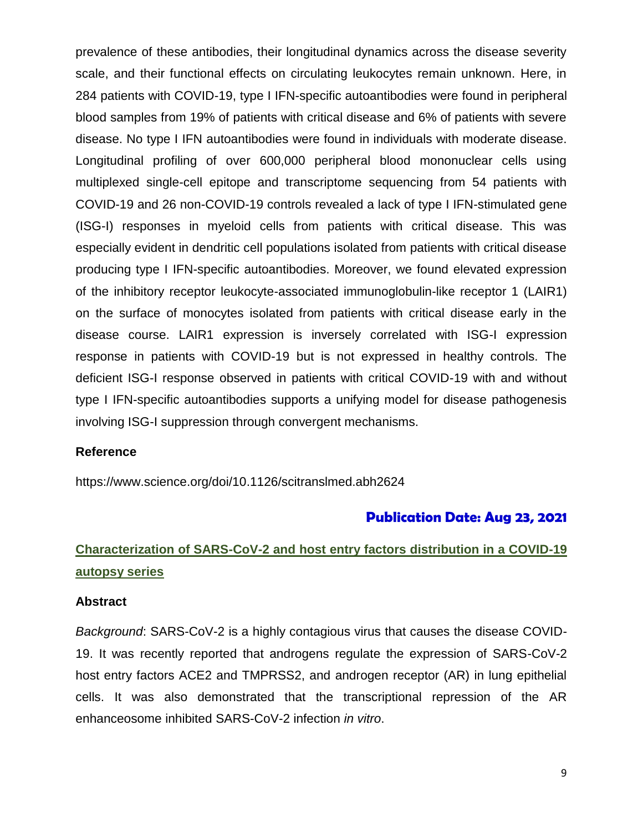prevalence of these antibodies, their longitudinal dynamics across the disease severity scale, and their functional effects on circulating leukocytes remain unknown. Here, in 284 patients with COVID-19, type I IFN-specific autoantibodies were found in peripheral blood samples from 19% of patients with critical disease and 6% of patients with severe disease. No type I IFN autoantibodies were found in individuals with moderate disease. Longitudinal profiling of over 600,000 peripheral blood mononuclear cells using multiplexed single-cell epitope and transcriptome sequencing from 54 patients with COVID-19 and 26 non-COVID-19 controls revealed a lack of type I IFN-stimulated gene (ISG-I) responses in myeloid cells from patients with critical disease. This was especially evident in dendritic cell populations isolated from patients with critical disease producing type I IFN-specific autoantibodies. Moreover, we found elevated expression of the inhibitory receptor leukocyte-associated immunoglobulin-like receptor 1 (LAIR1) on the surface of monocytes isolated from patients with critical disease early in the disease course. LAIR1 expression is inversely correlated with ISG-I expression response in patients with COVID-19 but is not expressed in healthy controls. The deficient ISG-I response observed in patients with critical COVID-19 with and without type I IFN-specific autoantibodies supports a unifying model for disease pathogenesis involving ISG-I suppression through convergent mechanisms.

#### **Reference**

https://www.science.org/doi/10.1126/scitranslmed.abh2624

# **Publication Date: Aug 23, 2021**

# **Characterization of SARS-CoV-2 and host entry factors distribution in a COVID-19 autopsy series**

#### **Abstract**

*Background*: SARS-CoV-2 is a highly contagious virus that causes the disease COVID-19. It was recently reported that androgens regulate the expression of SARS-CoV-2 host entry factors ACE2 and TMPRSS2, and androgen receptor (AR) in lung epithelial cells. It was also demonstrated that the transcriptional repression of the AR enhanceosome inhibited SARS-CoV-2 infection *in vitro*.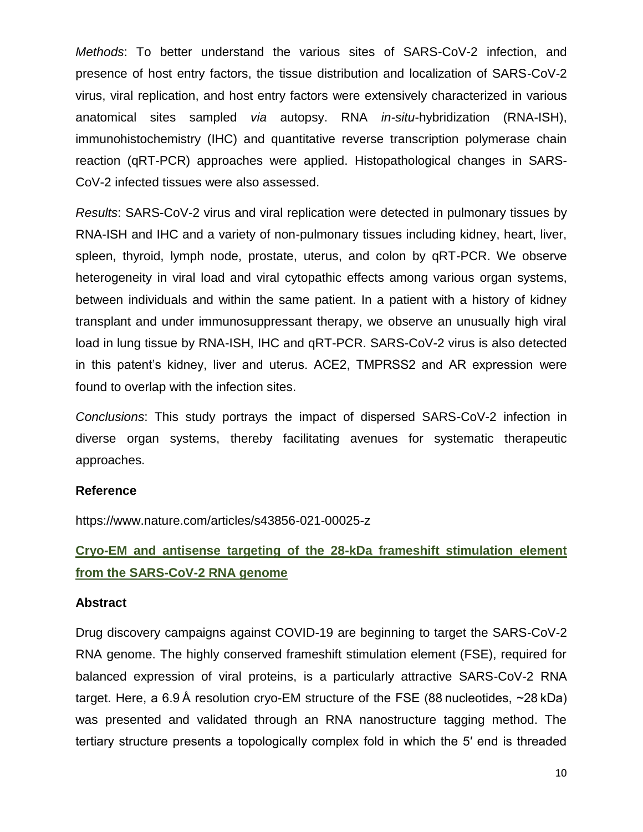*Methods*: To better understand the various sites of SARS-CoV-2 infection, and presence of host entry factors, the tissue distribution and localization of SARS-CoV-2 virus, viral replication, and host entry factors were extensively characterized in various anatomical sites sampled *via* autopsy. RNA *in-situ*-hybridization (RNA-ISH), immunohistochemistry (IHC) and quantitative reverse transcription polymerase chain reaction (qRT-PCR) approaches were applied. Histopathological changes in SARS-CoV-2 infected tissues were also assessed.

*Results*: SARS-CoV-2 virus and viral replication were detected in pulmonary tissues by RNA-ISH and IHC and a variety of non-pulmonary tissues including kidney, heart, liver, spleen, thyroid, lymph node, prostate, uterus, and colon by qRT-PCR. We observe heterogeneity in viral load and viral cytopathic effects among various organ systems, between individuals and within the same patient. In a patient with a history of kidney transplant and under immunosuppressant therapy, we observe an unusually high viral load in lung tissue by RNA-ISH, IHC and qRT-PCR. SARS-CoV-2 virus is also detected in this patent's kidney, liver and uterus. ACE2, TMPRSS2 and AR expression were found to overlap with the infection sites.

*Conclusions*: This study portrays the impact of dispersed SARS-CoV-2 infection in diverse organ systems, thereby facilitating avenues for systematic therapeutic approaches.

#### **Reference**

https://www.nature.com/articles/s43856-021-00025-z

# **Cryo-EM and antisense targeting of the 28-kDa frameshift stimulation element from the SARS-CoV-2 RNA genome**

#### **Abstract**

Drug discovery campaigns against COVID-19 are beginning to target the SARS-CoV-2 RNA genome. The highly conserved frameshift stimulation element (FSE), required for balanced expression of viral proteins, is a particularly attractive SARS-CoV-2 RNA target. Here, a 6.9 Å resolution cryo-EM structure of the FSE (88 nucleotides, ~28 kDa) was presented and validated through an RNA nanostructure tagging method. The tertiary structure presents a topologically complex fold in which the 5′ end is threaded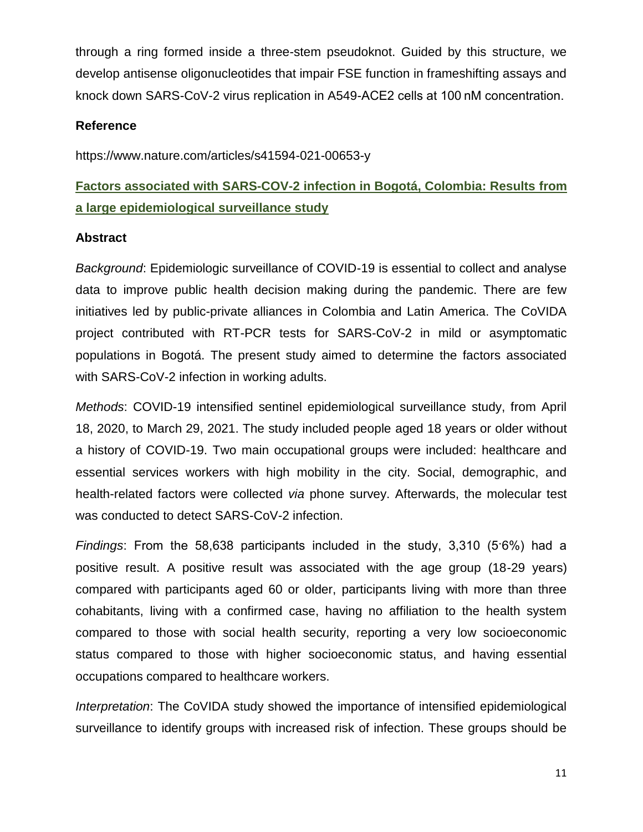through a ring formed inside a three-stem pseudoknot. Guided by this structure, we develop antisense oligonucleotides that impair FSE function in frameshifting assays and knock down SARS-CoV-2 virus replication in A549-ACE2 cells at 100 nM concentration.

### **Reference**

https://www.nature.com/articles/s41594-021-00653-y

# **Factors associated with SARS-COV-2 infection in Bogotá, Colombia: Results from a large epidemiological surveillance study**

#### **Abstract**

*Background*: Epidemiologic surveillance of COVID-19 is essential to collect and analyse data to improve public health decision making during the pandemic. There are few initiatives led by public-private alliances in Colombia and Latin America. The CoVIDA project contributed with RT-PCR tests for SARS-CoV-2 in mild or asymptomatic populations in Bogotá. The present study aimed to determine the factors associated with SARS-CoV-2 infection in working adults.

*Methods*: COVID-19 intensified sentinel epidemiological surveillance study, from April 18, 2020, to March 29, 2021. The study included people aged 18 years or older without a history of COVID-19. Two main occupational groups were included: healthcare and essential services workers with high mobility in the city. Social, demographic, and health-related factors were collected *via* phone survey. Afterwards, the molecular test was conducted to detect SARS-CoV-2 infection.

*Findings*: From the 58,638 participants included in the study, 3,310 (5·6%) had a positive result. A positive result was associated with the age group (18-29 years) compared with participants aged 60 or older, participants living with more than three cohabitants, living with a confirmed case, having no affiliation to the health system compared to those with social health security, reporting a very low socioeconomic status compared to those with higher socioeconomic status, and having essential occupations compared to healthcare workers.

*Interpretation*: The CoVIDA study showed the importance of intensified epidemiological surveillance to identify groups with increased risk of infection. These groups should be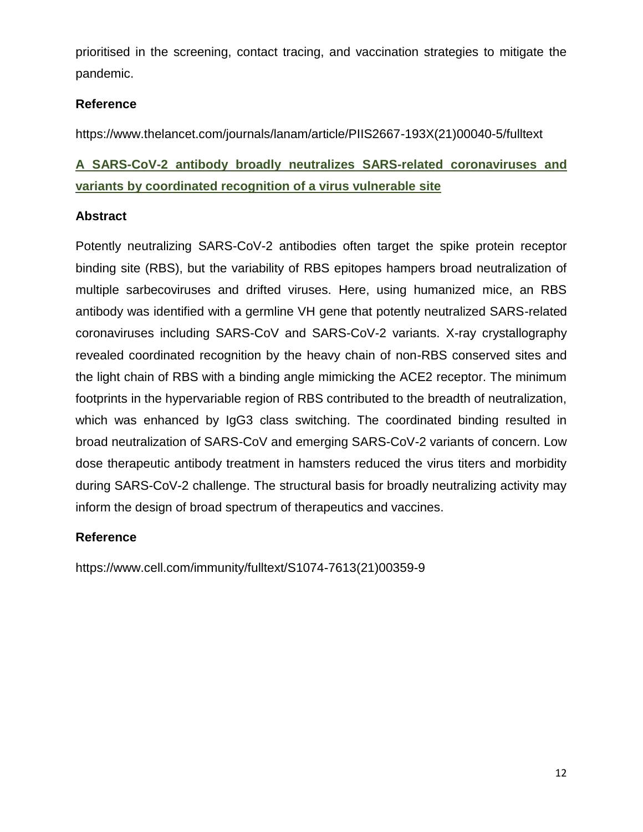prioritised in the screening, contact tracing, and vaccination strategies to mitigate the pandemic.

# **Reference**

https://www.thelancet.com/journals/lanam/article/PIIS2667-193X(21)00040-5/fulltext

# **A SARS-CoV-2 antibody broadly neutralizes SARS-related coronaviruses and variants by coordinated recognition of a virus vulnerable site**

# **Abstract**

Potently neutralizing SARS-CoV-2 antibodies often target the spike protein receptor binding site (RBS), but the variability of RBS epitopes hampers broad neutralization of multiple sarbecoviruses and drifted viruses. Here, using humanized mice, an RBS antibody was identified with a germline VH gene that potently neutralized SARS-related coronaviruses including SARS-CoV and SARS-CoV-2 variants. X-ray crystallography revealed coordinated recognition by the heavy chain of non-RBS conserved sites and the light chain of RBS with a binding angle mimicking the ACE2 receptor. The minimum footprints in the hypervariable region of RBS contributed to the breadth of neutralization, which was enhanced by IgG3 class switching. The coordinated binding resulted in broad neutralization of SARS-CoV and emerging SARS-CoV-2 variants of concern. Low dose therapeutic antibody treatment in hamsters reduced the virus titers and morbidity during SARS-CoV-2 challenge. The structural basis for broadly neutralizing activity may inform the design of broad spectrum of therapeutics and vaccines.

# **Reference**

https://www.cell.com/immunity/fulltext/S1074-7613(21)00359-9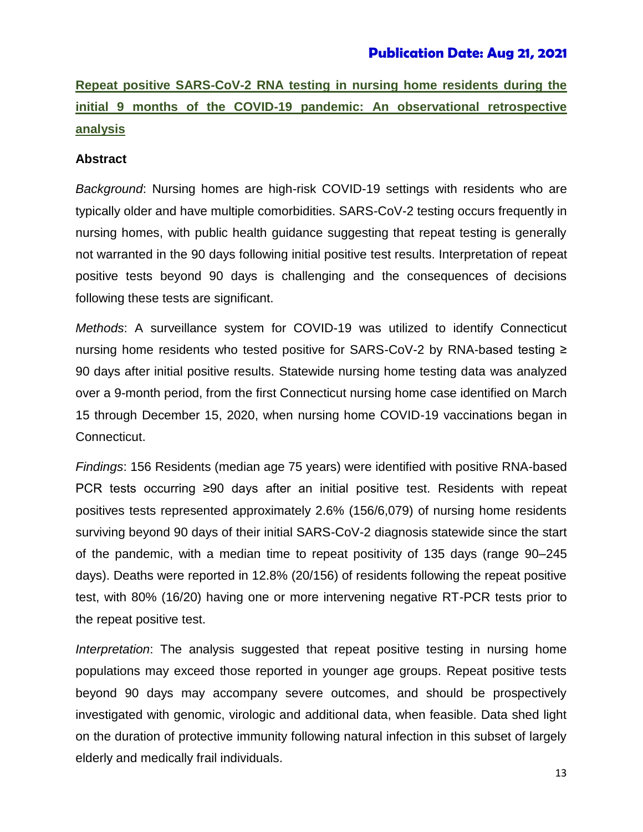# **Publication Date: Aug 21, 2021**

**Repeat positive SARS-CoV-2 RNA testing in nursing home residents during the initial 9 months of the COVID-19 pandemic: An observational retrospective analysis**

#### **Abstract**

*Background*: Nursing homes are high-risk COVID-19 settings with residents who are typically older and have multiple comorbidities. SARS-CoV-2 testing occurs frequently in nursing homes, with public health guidance suggesting that repeat testing is generally not warranted in the 90 days following initial positive test results. Interpretation of repeat positive tests beyond 90 days is challenging and the consequences of decisions following these tests are significant.

*Methods*: A surveillance system for COVID-19 was utilized to identify Connecticut nursing home residents who tested positive for SARS-CoV-2 by RNA-based testing ≥ 90 days after initial positive results. Statewide nursing home testing data was analyzed over a 9-month period, from the first Connecticut nursing home case identified on March 15 through December 15, 2020, when nursing home COVID-19 vaccinations began in Connecticut.

*Findings*: 156 Residents (median age 75 years) were identified with positive RNA-based PCR tests occurring ≥90 days after an initial positive test. Residents with repeat positives tests represented approximately 2.6% (156/6,079) of nursing home residents surviving beyond 90 days of their initial SARS-CoV-2 diagnosis statewide since the start of the pandemic, with a median time to repeat positivity of 135 days (range 90–245 days). Deaths were reported in 12.8% (20/156) of residents following the repeat positive test, with 80% (16/20) having one or more intervening negative RT-PCR tests prior to the repeat positive test.

*Interpretation*: The analysis suggested that repeat positive testing in nursing home populations may exceed those reported in younger age groups. Repeat positive tests beyond 90 days may accompany severe outcomes, and should be prospectively investigated with genomic, virologic and additional data, when feasible. Data shed light on the duration of protective immunity following natural infection in this subset of largely elderly and medically frail individuals.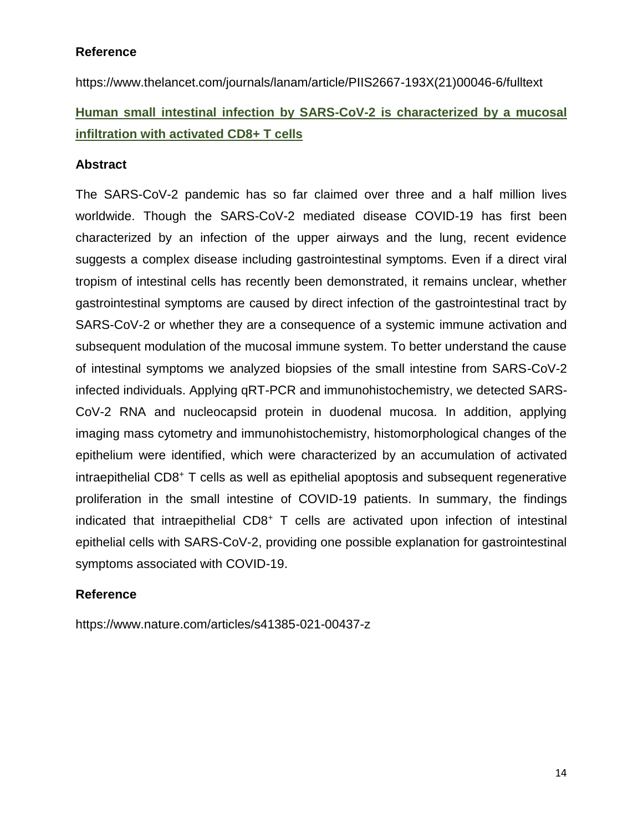# **Reference**

https://www.thelancet.com/journals/lanam/article/PIIS2667-193X(21)00046-6/fulltext

# **Human small intestinal infection by SARS-CoV-2 is characterized by a mucosal infiltration with activated CD8+ T cells**

# **Abstract**

The SARS-CoV-2 pandemic has so far claimed over three and a half million lives worldwide. Though the SARS-CoV-2 mediated disease COVID-19 has first been characterized by an infection of the upper airways and the lung, recent evidence suggests a complex disease including gastrointestinal symptoms. Even if a direct viral tropism of intestinal cells has recently been demonstrated, it remains unclear, whether gastrointestinal symptoms are caused by direct infection of the gastrointestinal tract by SARS-CoV-2 or whether they are a consequence of a systemic immune activation and subsequent modulation of the mucosal immune system. To better understand the cause of intestinal symptoms we analyzed biopsies of the small intestine from SARS-CoV-2 infected individuals. Applying qRT-PCR and immunohistochemistry, we detected SARS-CoV-2 RNA and nucleocapsid protein in duodenal mucosa. In addition, applying imaging mass cytometry and immunohistochemistry, histomorphological changes of the epithelium were identified, which were characterized by an accumulation of activated intraepithelial CD8<sup>+</sup> T cells as well as epithelial apoptosis and subsequent regenerative proliferation in the small intestine of COVID-19 patients. In summary, the findings indicated that intraepithelial CD8<sup>+</sup> T cells are activated upon infection of intestinal epithelial cells with SARS-CoV-2, providing one possible explanation for gastrointestinal symptoms associated with COVID-19.

# **Reference**

https://www.nature.com/articles/s41385-021-00437-z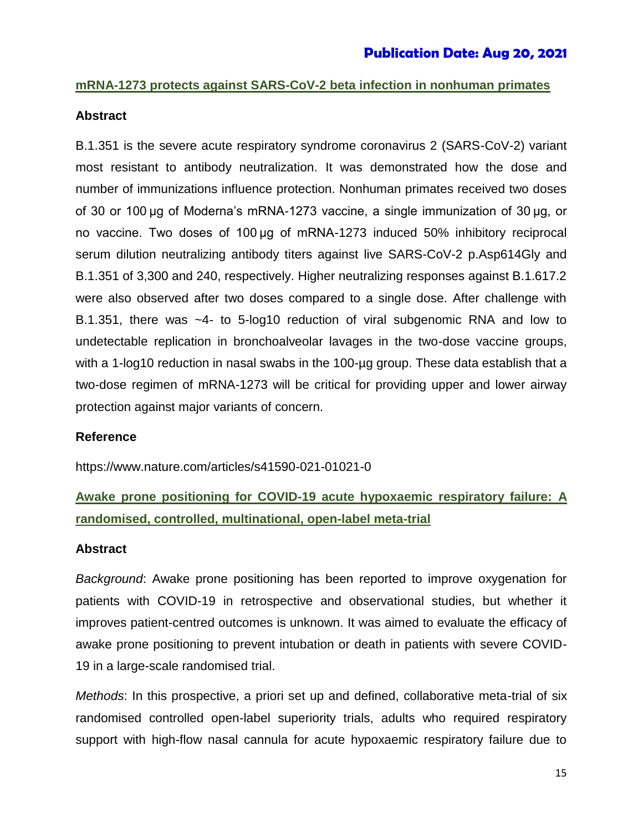# **mRNA-1273 protects against SARS-CoV-2 beta infection in nonhuman primates**

# **Abstract**

B.1.351 is the severe acute respiratory syndrome coronavirus 2 (SARS-CoV-2) variant most resistant to antibody neutralization. It was demonstrated how the dose and number of immunizations influence protection. Nonhuman primates received two doses of 30 or 100 µg of Moderna's mRNA-1273 vaccine, a single immunization of 30 µg, or no vaccine. Two doses of 100 µg of mRNA-1273 induced 50% inhibitory reciprocal serum dilution neutralizing antibody titers against live SARS-CoV-2 p.Asp614Gly and B.1.351 of 3,300 and 240, respectively. Higher neutralizing responses against B.1.617.2 were also observed after two doses compared to a single dose. After challenge with B.1.351, there was ~4- to 5-log10 reduction of viral subgenomic RNA and low to undetectable replication in bronchoalveolar lavages in the two-dose vaccine groups, with a 1-log10 reduction in nasal swabs in the 100-µg group. These data establish that a two-dose regimen of mRNA-1273 will be critical for providing upper and lower airway protection against major variants of concern.

#### **Reference**

https://www.nature.com/articles/s41590-021-01021-0

# **Awake prone positioning for COVID-19 acute hypoxaemic respiratory failure: A randomised, controlled, multinational, open-label meta-trial**

#### **Abstract**

*Background*: Awake prone positioning has been reported to improve oxygenation for patients with COVID-19 in retrospective and observational studies, but whether it improves patient-centred outcomes is unknown. It was aimed to evaluate the efficacy of awake prone positioning to prevent intubation or death in patients with severe COVID-19 in a large-scale randomised trial.

*Methods*: In this prospective, a priori set up and defined, collaborative meta-trial of six randomised controlled open-label superiority trials, adults who required respiratory support with high-flow nasal cannula for acute hypoxaemic respiratory failure due to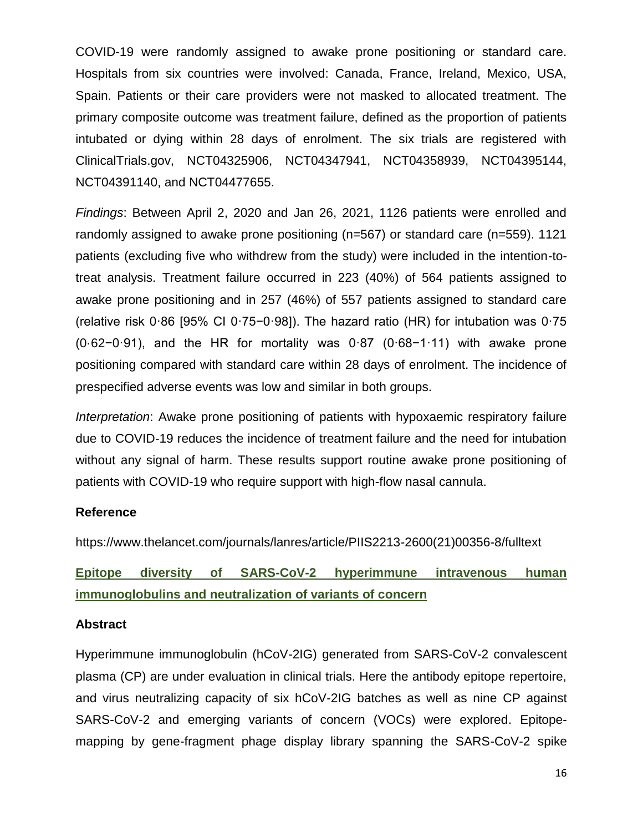COVID-19 were randomly assigned to awake prone positioning or standard care. Hospitals from six countries were involved: Canada, France, Ireland, Mexico, USA, Spain. Patients or their care providers were not masked to allocated treatment. The primary composite outcome was treatment failure, defined as the proportion of patients intubated or dying within 28 days of enrolment. The six trials are registered with ClinicalTrials.gov, NCT04325906, NCT04347941, NCT04358939, NCT04395144, NCT04391140, and NCT04477655.

*Findings*: Between April 2, 2020 and Jan 26, 2021, 1126 patients were enrolled and randomly assigned to awake prone positioning (n=567) or standard care (n=559). 1121 patients (excluding five who withdrew from the study) were included in the intention-totreat analysis. Treatment failure occurred in 223 (40%) of 564 patients assigned to awake prone positioning and in 257 (46%) of 557 patients assigned to standard care (relative risk 0·86 [95% CI 0·75−0·98]). The hazard ratio (HR) for intubation was 0·75 (0·62−0·91), and the HR for mortality was 0·87 (0·68−1·11) with awake prone positioning compared with standard care within 28 days of enrolment. The incidence of prespecified adverse events was low and similar in both groups.

*Interpretation*: Awake prone positioning of patients with hypoxaemic respiratory failure due to COVID-19 reduces the incidence of treatment failure and the need for intubation without any signal of harm. These results support routine awake prone positioning of patients with COVID-19 who require support with high-flow nasal cannula.

# **Reference**

https://www.thelancet.com/journals/lanres/article/PIIS2213-2600(21)00356-8/fulltext

**Epitope diversity of SARS-CoV-2 hyperimmune intravenous human immunoglobulins and neutralization of variants of concern**

#### **Abstract**

Hyperimmune immunoglobulin (hCoV-2IG) generated from SARS-CoV-2 convalescent plasma (CP) are under evaluation in clinical trials. Here the antibody epitope repertoire, and virus neutralizing capacity of six hCoV-2IG batches as well as nine CP against SARS-CoV-2 and emerging variants of concern (VOCs) were explored. Epitopemapping by gene-fragment phage display library spanning the SARS-CoV-2 spike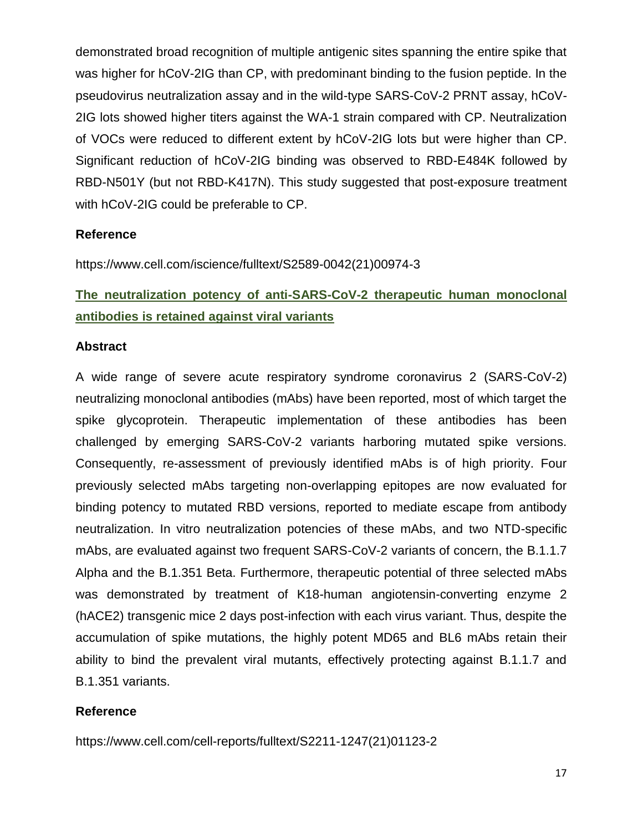demonstrated broad recognition of multiple antigenic sites spanning the entire spike that was higher for hCoV-2IG than CP, with predominant binding to the fusion peptide. In the pseudovirus neutralization assay and in the wild-type SARS-CoV-2 PRNT assay, hCoV-2IG lots showed higher titers against the WA-1 strain compared with CP. Neutralization of VOCs were reduced to different extent by hCoV-2IG lots but were higher than CP. Significant reduction of hCoV-2IG binding was observed to RBD-E484K followed by RBD-N501Y (but not RBD-K417N). This study suggested that post-exposure treatment with hCoV-2IG could be preferable to CP.

# **Reference**

https://www.cell.com/iscience/fulltext/S2589-0042(21)00974-3

# **The neutralization potency of anti-SARS-CoV-2 therapeutic human monoclonal antibodies is retained against viral variants**

# **Abstract**

A wide range of severe acute respiratory syndrome coronavirus 2 (SARS-CoV-2) neutralizing monoclonal antibodies (mAbs) have been reported, most of which target the spike glycoprotein. Therapeutic implementation of these antibodies has been challenged by emerging SARS-CoV-2 variants harboring mutated spike versions. Consequently, re-assessment of previously identified mAbs is of high priority. Four previously selected mAbs targeting non-overlapping epitopes are now evaluated for binding potency to mutated RBD versions, reported to mediate escape from antibody neutralization. In vitro neutralization potencies of these mAbs, and two NTD-specific mAbs, are evaluated against two frequent SARS-CoV-2 variants of concern, the B.1.1.7 Alpha and the B.1.351 Beta. Furthermore, therapeutic potential of three selected mAbs was demonstrated by treatment of K18-human angiotensin-converting enzyme 2 (hACE2) transgenic mice 2 days post-infection with each virus variant. Thus, despite the accumulation of spike mutations, the highly potent MD65 and BL6 mAbs retain their ability to bind the prevalent viral mutants, effectively protecting against B.1.1.7 and B.1.351 variants.

# **Reference**

https://www.cell.com/cell-reports/fulltext/S2211-1247(21)01123-2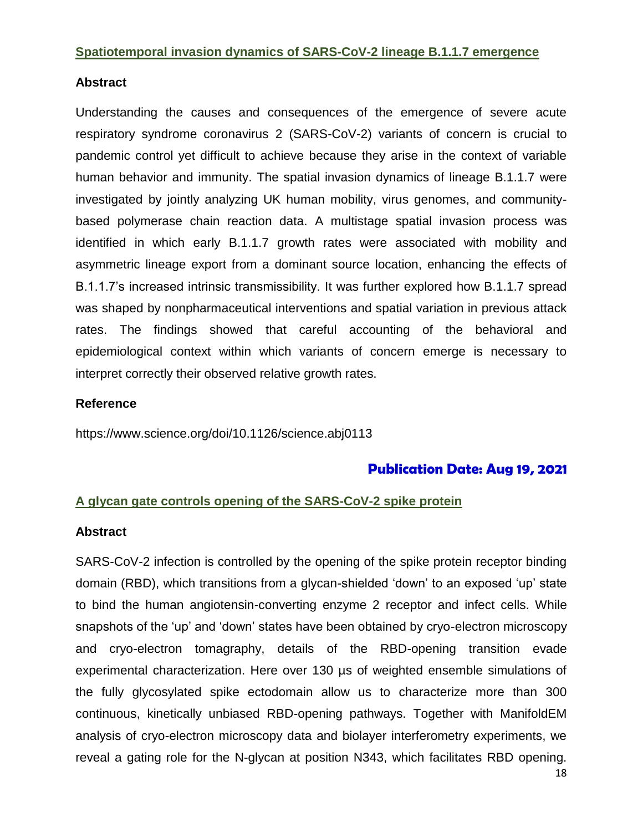#### **Spatiotemporal invasion dynamics of SARS-CoV-2 lineage B.1.1.7 emergence**

# **Abstract**

Understanding the causes and consequences of the emergence of severe acute respiratory syndrome coronavirus 2 (SARS-CoV-2) variants of concern is crucial to pandemic control yet difficult to achieve because they arise in the context of variable human behavior and immunity. The spatial invasion dynamics of lineage B.1.1.7 were investigated by jointly analyzing UK human mobility, virus genomes, and communitybased polymerase chain reaction data. A multistage spatial invasion process was identified in which early B.1.1.7 growth rates were associated with mobility and asymmetric lineage export from a dominant source location, enhancing the effects of B.1.1.7's increased intrinsic transmissibility. It was further explored how B.1.1.7 spread was shaped by nonpharmaceutical interventions and spatial variation in previous attack rates. The findings showed that careful accounting of the behavioral and epidemiological context within which variants of concern emerge is necessary to interpret correctly their observed relative growth rates.

# **Reference**

https://www.science.org/doi/10.1126/science.abj0113

# **Publication Date: Aug 19, 2021**

# **A glycan gate controls opening of the SARS-CoV-2 spike protein**

# **Abstract**

SARS-CoV-2 infection is controlled by the opening of the spike protein receptor binding domain (RBD), which transitions from a glycan-shielded 'down' to an exposed 'up' state to bind the human angiotensin-converting enzyme 2 receptor and infect cells. While snapshots of the 'up' and 'down' states have been obtained by cryo-electron microscopy and cryo-electron tomagraphy, details of the RBD-opening transition evade experimental characterization. Here over 130 µs of weighted ensemble simulations of the fully glycosylated spike ectodomain allow us to characterize more than 300 continuous, kinetically unbiased RBD-opening pathways. Together with ManifoldEM analysis of cryo-electron microscopy data and biolayer interferometry experiments, we reveal a gating role for the N-glycan at position N343, which facilitates RBD opening.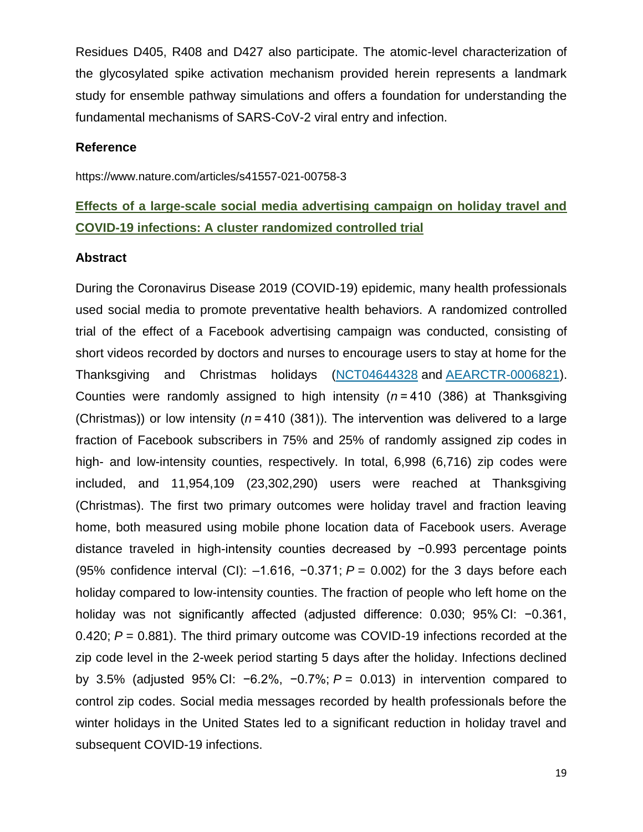Residues D405, R408 and D427 also participate. The atomic-level characterization of the glycosylated spike activation mechanism provided herein represents a landmark study for ensemble pathway simulations and offers a foundation for understanding the fundamental mechanisms of SARS-CoV-2 viral entry and infection.

#### **Reference**

https://www.nature.com/articles/s41557-021-00758-3

# **Effects of a large-scale social media advertising campaign on holiday travel and COVID-19 infections: A cluster randomized controlled trial**

#### **Abstract**

During the Coronavirus Disease 2019 (COVID-19) epidemic, many health professionals used social media to promote preventative health behaviors. A randomized controlled trial of the effect of a Facebook advertising campaign was conducted, consisting of short videos recorded by doctors and nurses to encourage users to stay at home for the Thanksgiving and Christmas holidays [\(NCT04644328](https://clinicaltrials.gov/ct2/show/NCT04644328) and [AEARCTR-0006821\)](https://www.socialscienceregistry.org/trials/6821). Counties were randomly assigned to high intensity (*n* = 410 (386) at Thanksgiving (Christmas)) or low intensity (*n* = 410 (381)). The intervention was delivered to a large fraction of Facebook subscribers in 75% and 25% of randomly assigned zip codes in high- and low-intensity counties, respectively. In total, 6,998 (6,716) zip codes were included, and 11,954,109 (23,302,290) users were reached at Thanksgiving (Christmas). The first two primary outcomes were holiday travel and fraction leaving home, both measured using mobile phone location data of Facebook users. Average distance traveled in high-intensity counties decreased by −0.993 percentage points (95% confidence interval (CI): –1.616, −0.371; *P* = 0.002) for the 3 days before each holiday compared to low-intensity counties. The fraction of people who left home on the holiday was not significantly affected (adjusted difference: 0.030; 95% CI: −0.361, 0.420; *P* = 0.881). The third primary outcome was COVID-19 infections recorded at the zip code level in the 2-week period starting 5 days after the holiday. Infections declined by 3.5% (adjusted 95% CI: −6.2%, −0.7%; *P* = 0.013) in intervention compared to control zip codes. Social media messages recorded by health professionals before the winter holidays in the United States led to a significant reduction in holiday travel and subsequent COVID-19 infections.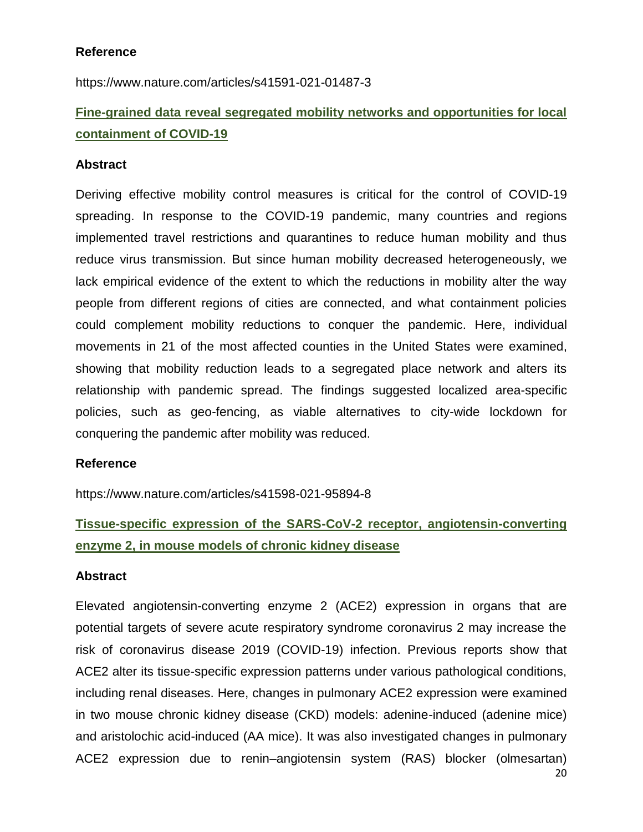### **Reference**

https://www.nature.com/articles/s41591-021-01487-3

# **Fine-grained data reveal segregated mobility networks and opportunities for local containment of COVID-19**

#### **Abstract**

Deriving effective mobility control measures is critical for the control of COVID-19 spreading. In response to the COVID-19 pandemic, many countries and regions implemented travel restrictions and quarantines to reduce human mobility and thus reduce virus transmission. But since human mobility decreased heterogeneously, we lack empirical evidence of the extent to which the reductions in mobility alter the way people from different regions of cities are connected, and what containment policies could complement mobility reductions to conquer the pandemic. Here, individual movements in 21 of the most affected counties in the United States were examined, showing that mobility reduction leads to a segregated place network and alters its relationship with pandemic spread. The findings suggested localized area-specific policies, such as geo-fencing, as viable alternatives to city-wide lockdown for conquering the pandemic after mobility was reduced.

#### **Reference**

https://www.nature.com/articles/s41598-021-95894-8

# **Tissue-specific expression of the SARS-CoV-2 receptor, angiotensin-converting enzyme 2, in mouse models of chronic kidney disease**

# **Abstract**

Elevated angiotensin-converting enzyme 2 (ACE2) expression in organs that are potential targets of severe acute respiratory syndrome coronavirus 2 may increase the risk of coronavirus disease 2019 (COVID-19) infection. Previous reports show that ACE2 alter its tissue-specific expression patterns under various pathological conditions, including renal diseases. Here, changes in pulmonary ACE2 expression were examined in two mouse chronic kidney disease (CKD) models: adenine-induced (adenine mice) and aristolochic acid-induced (AA mice). It was also investigated changes in pulmonary ACE2 expression due to renin–angiotensin system (RAS) blocker (olmesartan)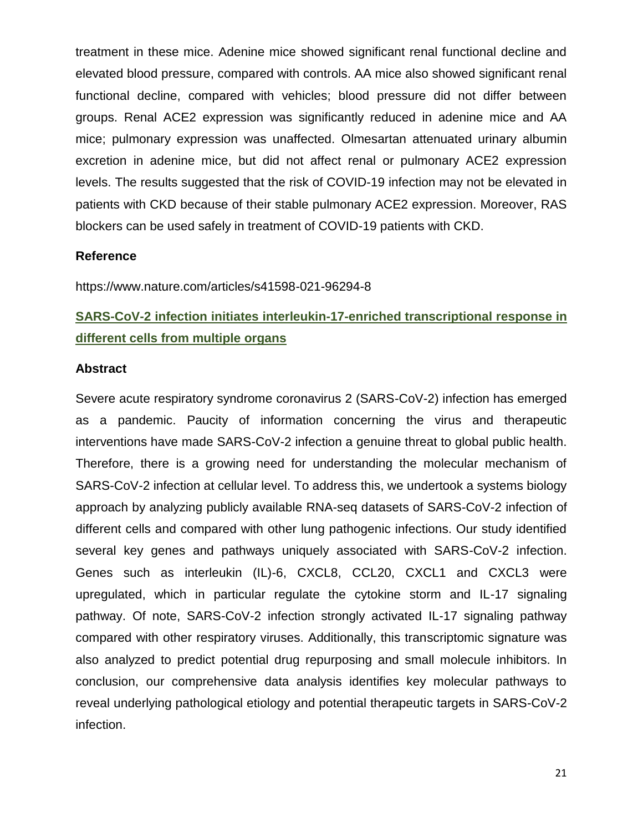treatment in these mice. Adenine mice showed significant renal functional decline and elevated blood pressure, compared with controls. AA mice also showed significant renal functional decline, compared with vehicles; blood pressure did not differ between groups. Renal ACE2 expression was significantly reduced in adenine mice and AA mice; pulmonary expression was unaffected. Olmesartan attenuated urinary albumin excretion in adenine mice, but did not affect renal or pulmonary ACE2 expression levels. The results suggested that the risk of COVID-19 infection may not be elevated in patients with CKD because of their stable pulmonary ACE2 expression. Moreover, RAS blockers can be used safely in treatment of COVID-19 patients with CKD.

# **Reference**

https://www.nature.com/articles/s41598-021-96294-8

# **SARS-CoV-2 infection initiates interleukin-17-enriched transcriptional response in different cells from multiple organs**

#### **Abstract**

Severe acute respiratory syndrome coronavirus 2 (SARS-CoV-2) infection has emerged as a pandemic. Paucity of information concerning the virus and therapeutic interventions have made SARS-CoV-2 infection a genuine threat to global public health. Therefore, there is a growing need for understanding the molecular mechanism of SARS-CoV-2 infection at cellular level. To address this, we undertook a systems biology approach by analyzing publicly available RNA-seq datasets of SARS-CoV-2 infection of different cells and compared with other lung pathogenic infections. Our study identified several key genes and pathways uniquely associated with SARS-CoV-2 infection. Genes such as interleukin (IL)-6, CXCL8, CCL20, CXCL1 and CXCL3 were upregulated, which in particular regulate the cytokine storm and IL-17 signaling pathway. Of note, SARS-CoV-2 infection strongly activated IL-17 signaling pathway compared with other respiratory viruses. Additionally, this transcriptomic signature was also analyzed to predict potential drug repurposing and small molecule inhibitors. In conclusion, our comprehensive data analysis identifies key molecular pathways to reveal underlying pathological etiology and potential therapeutic targets in SARS-CoV-2 infection.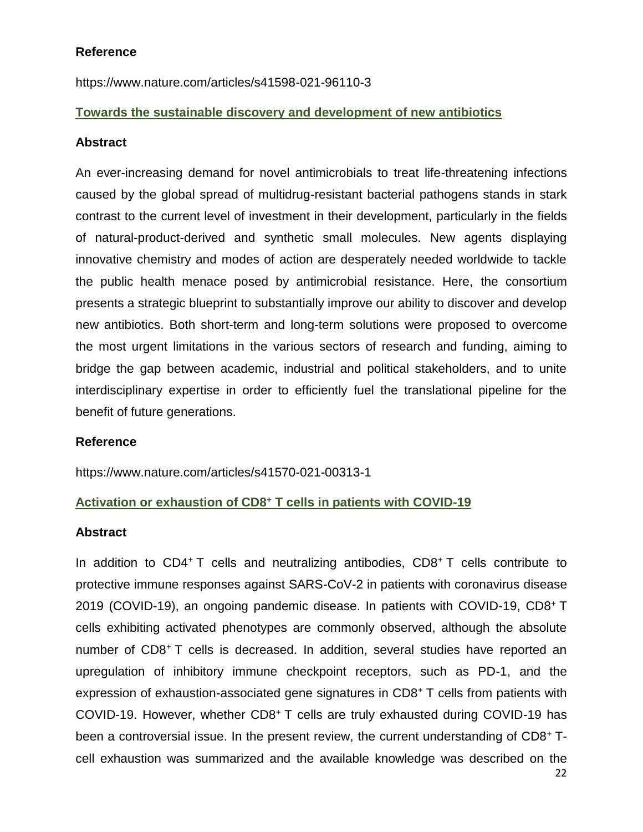# **Reference**

https://www.nature.com/articles/s41598-021-96110-3

# **Towards the sustainable discovery and development of new antibiotics**

# **Abstract**

An ever-increasing demand for novel antimicrobials to treat life-threatening infections caused by the global spread of multidrug-resistant bacterial pathogens stands in stark contrast to the current level of investment in their development, particularly in the fields of natural-product-derived and synthetic small molecules. New agents displaying innovative chemistry and modes of action are desperately needed worldwide to tackle the public health menace posed by antimicrobial resistance. Here, the consortium presents a strategic blueprint to substantially improve our ability to discover and develop new antibiotics. Both short-term and long-term solutions were proposed to overcome the most urgent limitations in the various sectors of research and funding, aiming to bridge the gap between academic, industrial and political stakeholders, and to unite interdisciplinary expertise in order to efficiently fuel the translational pipeline for the benefit of future generations.

# **Reference**

https://www.nature.com/articles/s41570-021-00313-1

# **Activation or exhaustion of CD8<sup>+</sup> T cells in patients with COVID-19**

#### **Abstract**

In addition to CD4<sup>+</sup> T cells and neutralizing antibodies, CD8<sup>+</sup> T cells contribute to protective immune responses against SARS-CoV-2 in patients with coronavirus disease 2019 (COVID-19), an ongoing pandemic disease. In patients with COVID-19, CD8<sup>+</sup> T cells exhibiting activated phenotypes are commonly observed, although the absolute number of CD8<sup>+</sup> T cells is decreased. In addition, several studies have reported an upregulation of inhibitory immune checkpoint receptors, such as PD-1, and the expression of exhaustion-associated gene signatures in CD8<sup>+</sup> T cells from patients with COVID-19. However, whether CD8<sup>+</sup> T cells are truly exhausted during COVID-19 has been a controversial issue. In the present review, the current understanding of CD8<sup>+</sup> Tcell exhaustion was summarized and the available knowledge was described on the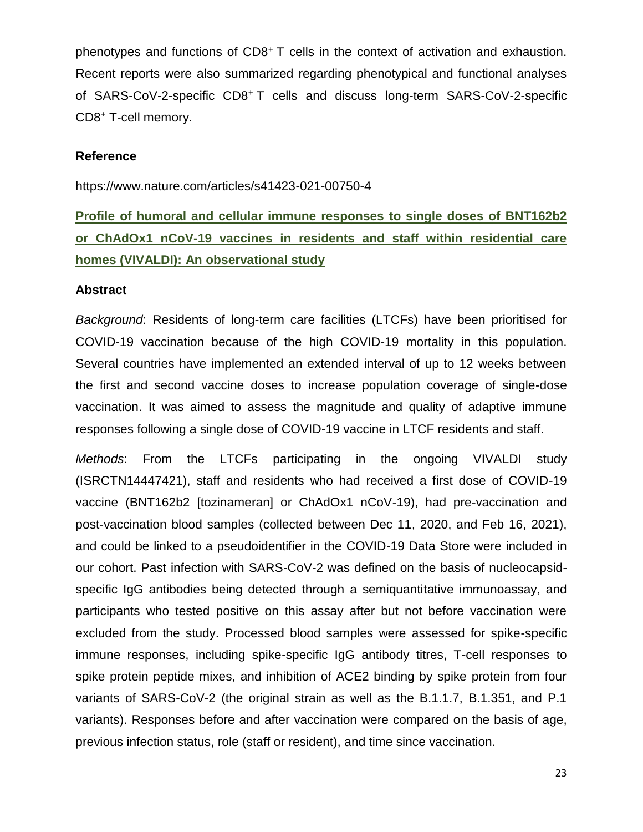phenotypes and functions of CD8<sup>+</sup> T cells in the context of activation and exhaustion. Recent reports were also summarized regarding phenotypical and functional analyses of SARS-CoV-2-specific CD8<sup>+</sup> T cells and discuss long-term SARS-CoV-2-specific CD8<sup>+</sup> T-cell memory.

#### **Reference**

https://www.nature.com/articles/s41423-021-00750-4

# **Profile of humoral and cellular immune responses to single doses of BNT162b2 or ChAdOx1 nCoV-19 vaccines in residents and staff within residential care homes (VIVALDI): An observational study**

#### **Abstract**

*Background*: Residents of long-term care facilities (LTCFs) have been prioritised for COVID-19 vaccination because of the high COVID-19 mortality in this population. Several countries have implemented an extended interval of up to 12 weeks between the first and second vaccine doses to increase population coverage of single-dose vaccination. It was aimed to assess the magnitude and quality of adaptive immune responses following a single dose of COVID-19 vaccine in LTCF residents and staff.

*Methods*: From the LTCFs participating in the ongoing VIVALDI study (ISRCTN14447421), staff and residents who had received a first dose of COVID-19 vaccine (BNT162b2 [tozinameran] or ChAdOx1 nCoV-19), had pre-vaccination and post-vaccination blood samples (collected between Dec 11, 2020, and Feb 16, 2021), and could be linked to a pseudoidentifier in the COVID-19 Data Store were included in our cohort. Past infection with SARS-CoV-2 was defined on the basis of nucleocapsidspecific IgG antibodies being detected through a semiquantitative immunoassay, and participants who tested positive on this assay after but not before vaccination were excluded from the study. Processed blood samples were assessed for spike-specific immune responses, including spike-specific IgG antibody titres, T-cell responses to spike protein peptide mixes, and inhibition of ACE2 binding by spike protein from four variants of SARS-CoV-2 (the original strain as well as the B.1.1.7, B.1.351, and P.1 variants). Responses before and after vaccination were compared on the basis of age, previous infection status, role (staff or resident), and time since vaccination.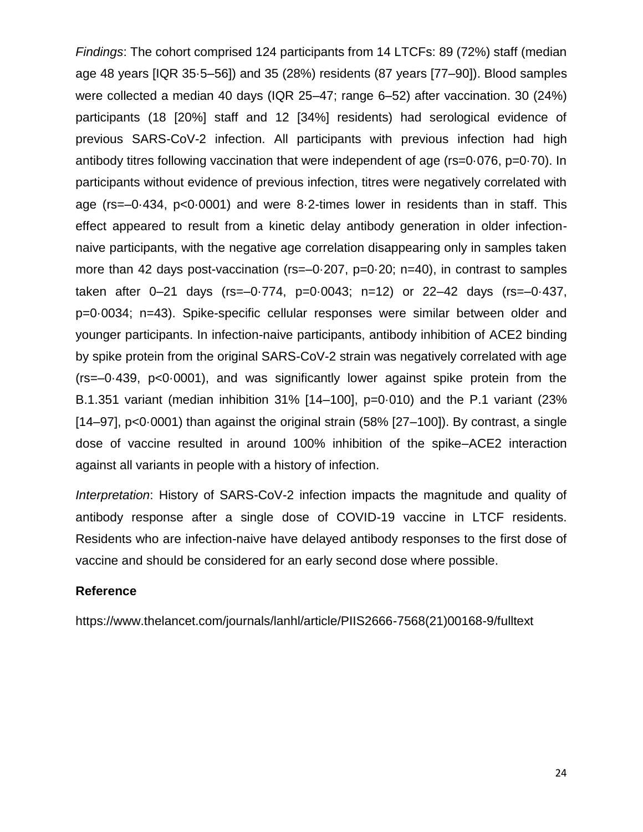*Findings*: The cohort comprised 124 participants from 14 LTCFs: 89 (72%) staff (median age 48 years [IQR 35·5–56]) and 35 (28%) residents (87 years [77–90]). Blood samples were collected a median 40 days (IQR 25–47; range 6–52) after vaccination. 30 (24%) participants (18 [20%] staff and 12 [34%] residents) had serological evidence of previous SARS-CoV-2 infection. All participants with previous infection had high antibody titres following vaccination that were independent of age (rs=0·076, p=0·70). In participants without evidence of previous infection, titres were negatively correlated with age (rs=–0·434, p<0·0001) and were 8·2-times lower in residents than in staff. This effect appeared to result from a kinetic delay antibody generation in older infectionnaive participants, with the negative age correlation disappearing only in samples taken more than 42 days post-vaccination (rs=-0.207, p=0.20; n=40), in contrast to samples taken after 0–21 days (rs=–0·774, p=0·0043; n=12) or 22–42 days (rs=–0·437, p=0·0034; n=43). Spike-specific cellular responses were similar between older and younger participants. In infection-naive participants, antibody inhibition of ACE2 binding by spike protein from the original SARS-CoV-2 strain was negatively correlated with age (rs=–0·439, p<0·0001), and was significantly lower against spike protein from the B.1.351 variant (median inhibition 31% [14–100], p=0·010) and the P.1 variant (23%  $[14–97]$ ,  $p<0.0001$ ) than against the original strain (58%  $[27–100]$ ). By contrast, a single dose of vaccine resulted in around 100% inhibition of the spike–ACE2 interaction against all variants in people with a history of infection.

*Interpretation*: History of SARS-CoV-2 infection impacts the magnitude and quality of antibody response after a single dose of COVID-19 vaccine in LTCF residents. Residents who are infection-naive have delayed antibody responses to the first dose of vaccine and should be considered for an early second dose where possible.

#### **Reference**

https://www.thelancet.com/journals/lanhl/article/PIIS2666-7568(21)00168-9/fulltext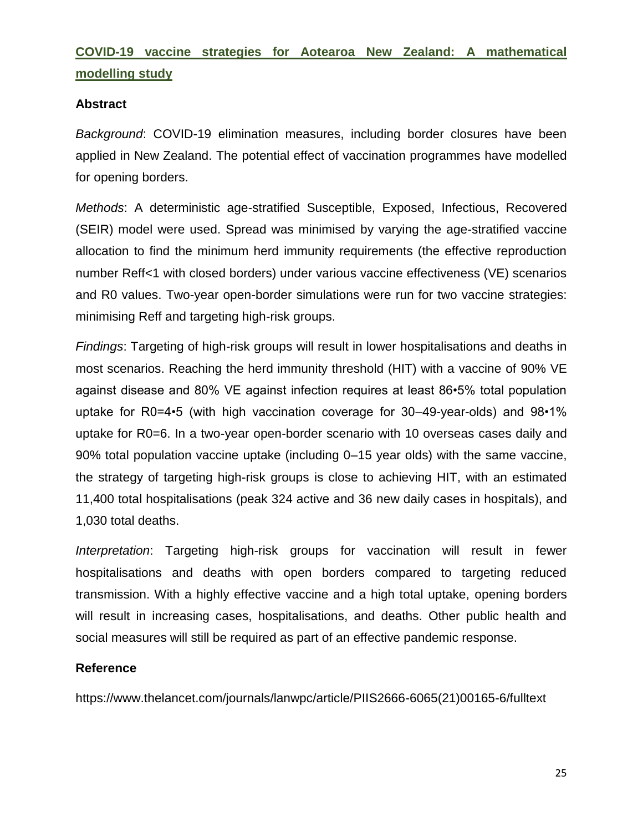# **COVID-19 vaccine strategies for Aotearoa New Zealand: A mathematical modelling study**

# **Abstract**

*Background*: COVID-19 elimination measures, including border closures have been applied in New Zealand. The potential effect of vaccination programmes have modelled for opening borders.

*Methods*: A deterministic age-stratified Susceptible, Exposed, Infectious, Recovered (SEIR) model were used. Spread was minimised by varying the age-stratified vaccine allocation to find the minimum herd immunity requirements (the effective reproduction number Reff<1 with closed borders) under various vaccine effectiveness (VE) scenarios and R0 values. Two-year open-border simulations were run for two vaccine strategies: minimising Reff and targeting high-risk groups.

*Findings*: Targeting of high-risk groups will result in lower hospitalisations and deaths in most scenarios. Reaching the herd immunity threshold (HIT) with a vaccine of 90% VE against disease and 80% VE against infection requires at least 86•5% total population uptake for R0=4•5 (with high vaccination coverage for 30–49-year-olds) and 98•1% uptake for R0=6. In a two-year open-border scenario with 10 overseas cases daily and 90% total population vaccine uptake (including 0–15 year olds) with the same vaccine, the strategy of targeting high-risk groups is close to achieving HIT, with an estimated 11,400 total hospitalisations (peak 324 active and 36 new daily cases in hospitals), and 1,030 total deaths.

*Interpretation*: Targeting high-risk groups for vaccination will result in fewer hospitalisations and deaths with open borders compared to targeting reduced transmission. With a highly effective vaccine and a high total uptake, opening borders will result in increasing cases, hospitalisations, and deaths. Other public health and social measures will still be required as part of an effective pandemic response.

# **Reference**

https://www.thelancet.com/journals/lanwpc/article/PIIS2666-6065(21)00165-6/fulltext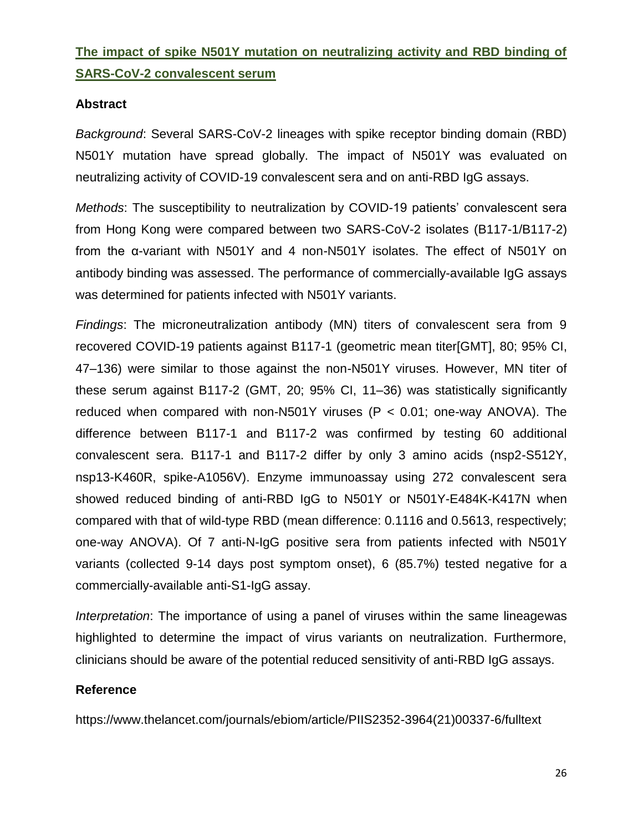# **The impact of spike N501Y mutation on neutralizing activity and RBD binding of SARS-CoV-2 convalescent serum**

# **Abstract**

*Background*: Several SARS-CoV-2 lineages with spike receptor binding domain (RBD) N501Y mutation have spread globally. The impact of N501Y was evaluated on neutralizing activity of COVID-19 convalescent sera and on anti-RBD IgG assays.

*Methods*: The susceptibility to neutralization by COVID-19 patients' convalescent sera from Hong Kong were compared between two SARS-CoV-2 isolates (B117-1/B117-2) from the α-variant with N501Y and 4 non-N501Y isolates. The effect of N501Y on antibody binding was assessed. The performance of commercially-available IgG assays was determined for patients infected with N501Y variants.

*Findings*: The microneutralization antibody (MN) titers of convalescent sera from 9 recovered COVID-19 patients against B117-1 (geometric mean titer[GMT], 80; 95% CI, 47–136) were similar to those against the non-N501Y viruses. However, MN titer of these serum against B117-2 (GMT, 20; 95% CI, 11–36) was statistically significantly reduced when compared with non-N501Y viruses (P < 0.01; one-way ANOVA). The difference between B117-1 and B117-2 was confirmed by testing 60 additional convalescent sera. B117-1 and B117-2 differ by only 3 amino acids (nsp2-S512Y, nsp13-K460R, spike-A1056V). Enzyme immunoassay using 272 convalescent sera showed reduced binding of anti-RBD IgG to N501Y or N501Y-E484K-K417N when compared with that of wild-type RBD (mean difference: 0.1116 and 0.5613, respectively; one-way ANOVA). Of 7 anti-N-IgG positive sera from patients infected with N501Y variants (collected 9-14 days post symptom onset), 6 (85.7%) tested negative for a commercially-available anti-S1-IgG assay.

*Interpretation*: The importance of using a panel of viruses within the same lineagewas highlighted to determine the impact of virus variants on neutralization. Furthermore, clinicians should be aware of the potential reduced sensitivity of anti-RBD IgG assays.

# **Reference**

https://www.thelancet.com/journals/ebiom/article/PIIS2352-3964(21)00337-6/fulltext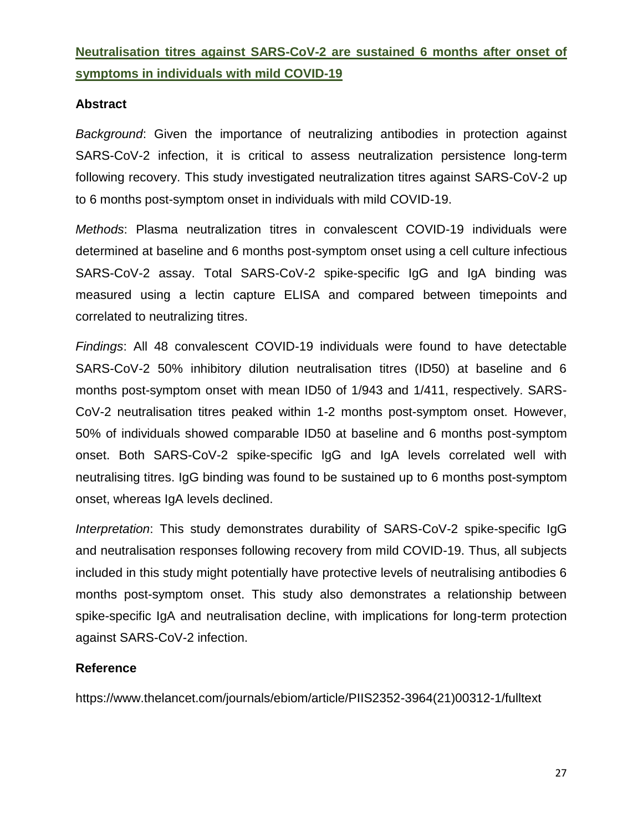# **Neutralisation titres against SARS-CoV-2 are sustained 6 months after onset of symptoms in individuals with mild COVID-19**

# **Abstract**

*Background*: Given the importance of neutralizing antibodies in protection against SARS-CoV-2 infection, it is critical to assess neutralization persistence long-term following recovery. This study investigated neutralization titres against SARS-CoV-2 up to 6 months post-symptom onset in individuals with mild COVID-19.

*Methods*: Plasma neutralization titres in convalescent COVID-19 individuals were determined at baseline and 6 months post-symptom onset using a cell culture infectious SARS-CoV-2 assay. Total SARS-CoV-2 spike-specific IgG and IgA binding was measured using a lectin capture ELISA and compared between timepoints and correlated to neutralizing titres.

*Findings*: All 48 convalescent COVID-19 individuals were found to have detectable SARS-CoV-2 50% inhibitory dilution neutralisation titres (ID50) at baseline and 6 months post-symptom onset with mean ID50 of 1/943 and 1/411, respectively. SARS-CoV-2 neutralisation titres peaked within 1-2 months post-symptom onset. However, 50% of individuals showed comparable ID50 at baseline and 6 months post-symptom onset. Both SARS-CoV-2 spike-specific IgG and IgA levels correlated well with neutralising titres. IgG binding was found to be sustained up to 6 months post-symptom onset, whereas IgA levels declined.

*Interpretation*: This study demonstrates durability of SARS-CoV-2 spike-specific IgG and neutralisation responses following recovery from mild COVID-19. Thus, all subjects included in this study might potentially have protective levels of neutralising antibodies 6 months post-symptom onset. This study also demonstrates a relationship between spike-specific IgA and neutralisation decline, with implications for long-term protection against SARS-CoV-2 infection.

# **Reference**

https://www.thelancet.com/journals/ebiom/article/PIIS2352-3964(21)00312-1/fulltext